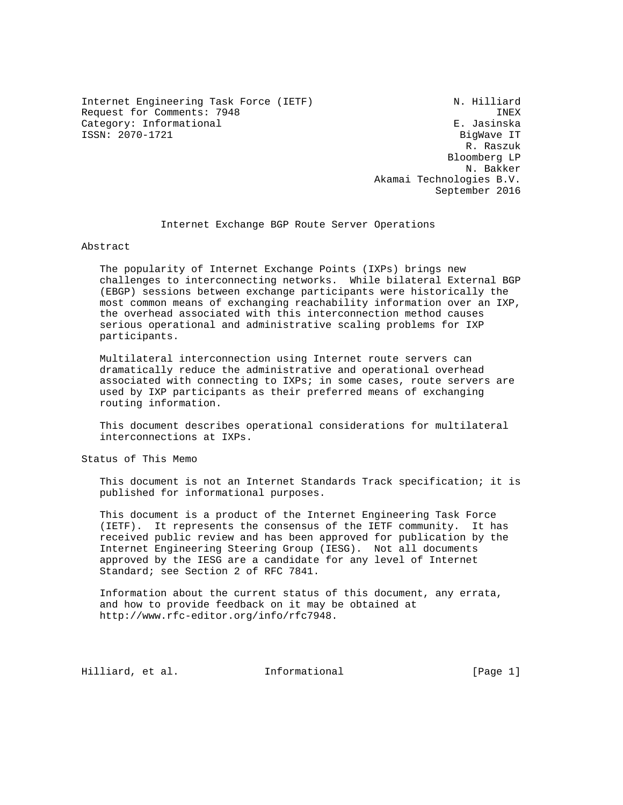Internet Engineering Task Force (IETF) N. Hilliard Request for Comments: 7948 INEX Category: Informational ISSN: 2070-1721 BigWave IT

 R. Raszuk Bloomberg LP N. Bakker Akamai Technologies B.V. September 2016

Internet Exchange BGP Route Server Operations

Abstract

 The popularity of Internet Exchange Points (IXPs) brings new challenges to interconnecting networks. While bilateral External BGP (EBGP) sessions between exchange participants were historically the most common means of exchanging reachability information over an IXP, the overhead associated with this interconnection method causes serious operational and administrative scaling problems for IXP participants.

 Multilateral interconnection using Internet route servers can dramatically reduce the administrative and operational overhead associated with connecting to IXPs; in some cases, route servers are used by IXP participants as their preferred means of exchanging routing information.

 This document describes operational considerations for multilateral interconnections at IXPs.

Status of This Memo

 This document is not an Internet Standards Track specification; it is published for informational purposes.

 This document is a product of the Internet Engineering Task Force (IETF). It represents the consensus of the IETF community. It has received public review and has been approved for publication by the Internet Engineering Steering Group (IESG). Not all documents approved by the IESG are a candidate for any level of Internet Standard; see Section 2 of RFC 7841.

 Information about the current status of this document, any errata, and how to provide feedback on it may be obtained at http://www.rfc-editor.org/info/rfc7948.

Hilliard, et al. 1nformational [Page 1]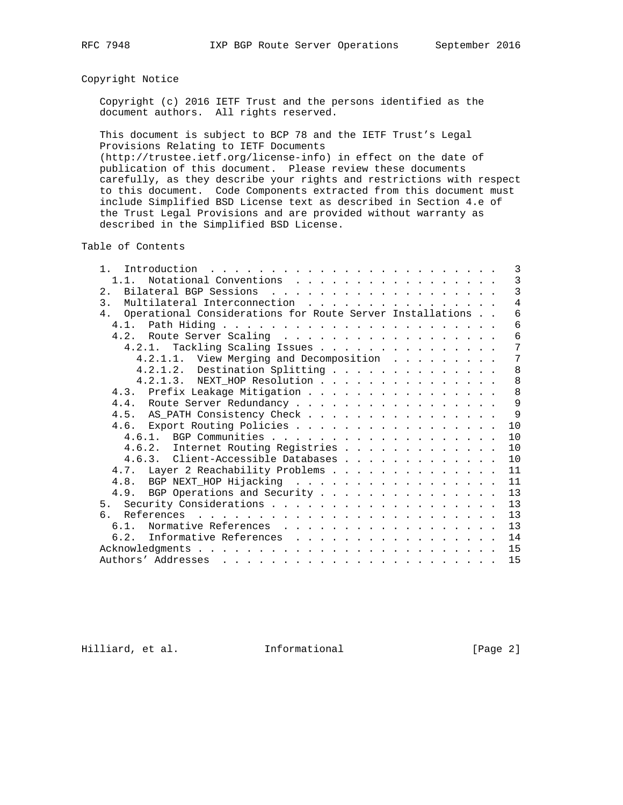# Copyright Notice

 Copyright (c) 2016 IETF Trust and the persons identified as the document authors. All rights reserved.

 This document is subject to BCP 78 and the IETF Trust's Legal Provisions Relating to IETF Documents

 (http://trustee.ietf.org/license-info) in effect on the date of publication of this document. Please review these documents carefully, as they describe your rights and restrictions with respect to this document. Code Components extracted from this document must include Simplified BSD License text as described in Section 4.e of the Trust Legal Provisions and are provided without warranty as described in the Simplified BSD License.

Table of Contents

| $\mathbf{1}$                                                 | 3              |
|--------------------------------------------------------------|----------------|
| 1.1. Notational Conventions                                  | $\mathbf{3}$   |
|                                                              | 3              |
| Multilateral Interconnection<br>$\mathcal{E}$                | $\overline{4}$ |
| 4. Operational Considerations for Route Server Installations | 6              |
|                                                              | 6              |
| 4.2. Route Server Scaling                                    | 6              |
| 4.2.1. Tackling Scaling Issues                               | 7              |
| 4.2.1.1. View Merging and Decomposition                      | 7              |
| 4.2.1.2. Destination Splitting                               | 8              |
| 4.2.1.3. NEXT_HOP Resolution                                 | 8              |
| 4.3. Prefix Leakage Mitigation                               | 8              |
| 4.4. Route Server Redundancy                                 | 9              |
| 4.5. AS_PATH Consistency Check                               | 9              |
| 4.6. Export Routing Policies                                 | 10             |
|                                                              | 10             |
| 4.6.2. Internet Routing Registries                           | 10             |
| 4.6.3. Client-Accessible Databases                           | 10             |
| 4.7. Layer 2 Reachability Problems                           | 11             |
| 4.8. BGP NEXT_HOP Hijacking                                  | 11             |
| 4.9. BGP Operations and Security                             | 13             |
|                                                              | 13             |
| რ.                                                           | 13             |
| 6.1. Normative References                                    | 13             |
|                                                              | 14             |
| 6.2. Informative References                                  |                |
|                                                              | 15             |
|                                                              | 15             |

Hilliard, et al. 1nformational 1999 [Page 2]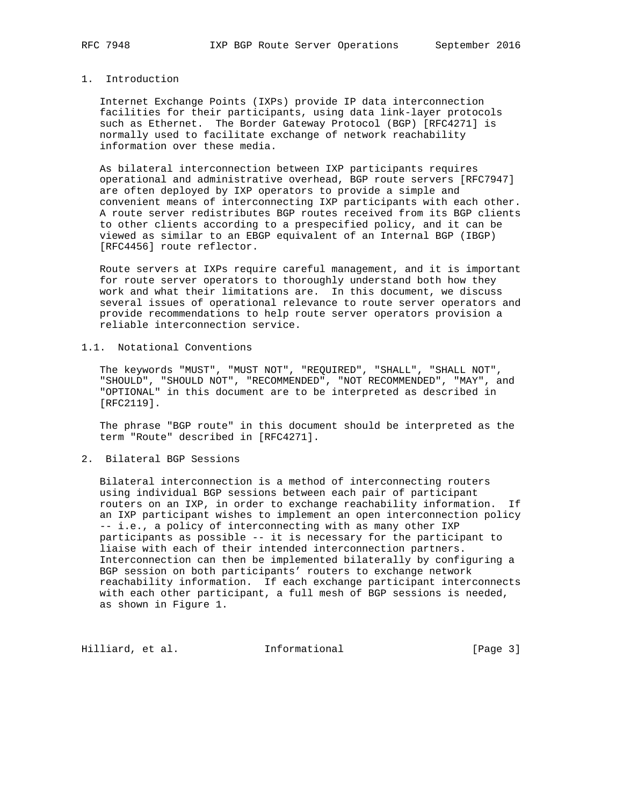## 1. Introduction

 Internet Exchange Points (IXPs) provide IP data interconnection facilities for their participants, using data link-layer protocols such as Ethernet. The Border Gateway Protocol (BGP) [RFC4271] is normally used to facilitate exchange of network reachability information over these media.

 As bilateral interconnection between IXP participants requires operational and administrative overhead, BGP route servers [RFC7947] are often deployed by IXP operators to provide a simple and convenient means of interconnecting IXP participants with each other. A route server redistributes BGP routes received from its BGP clients to other clients according to a prespecified policy, and it can be viewed as similar to an EBGP equivalent of an Internal BGP (IBGP) [RFC4456] route reflector.

 Route servers at IXPs require careful management, and it is important for route server operators to thoroughly understand both how they work and what their limitations are. In this document, we discuss several issues of operational relevance to route server operators and provide recommendations to help route server operators provision a reliable interconnection service.

# 1.1. Notational Conventions

 The keywords "MUST", "MUST NOT", "REQUIRED", "SHALL", "SHALL NOT", "SHOULD", "SHOULD NOT", "RECOMMENDED", "NOT RECOMMENDED", "MAY", and "OPTIONAL" in this document are to be interpreted as described in [RFC2119].

 The phrase "BGP route" in this document should be interpreted as the term "Route" described in [RFC4271].

2. Bilateral BGP Sessions

 Bilateral interconnection is a method of interconnecting routers using individual BGP sessions between each pair of participant routers on an IXP, in order to exchange reachability information. If an IXP participant wishes to implement an open interconnection policy -- i.e., a policy of interconnecting with as many other IXP participants as possible -- it is necessary for the participant to liaise with each of their intended interconnection partners. Interconnection can then be implemented bilaterally by configuring a BGP session on both participants' routers to exchange network reachability information. If each exchange participant interconnects with each other participant, a full mesh of BGP sessions is needed, as shown in Figure 1.

Hilliard, et al. 1nformational 1999 [Page 3]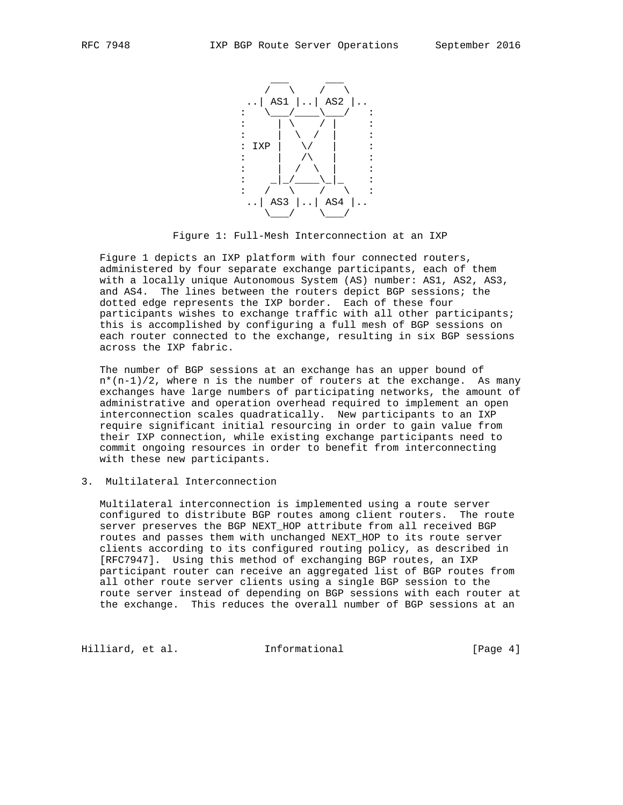

Figure 1: Full-Mesh Interconnection at an IXP

 Figure 1 depicts an IXP platform with four connected routers, administered by four separate exchange participants, each of them with a locally unique Autonomous System (AS) number: AS1, AS2, AS3, and AS4. The lines between the routers depict BGP sessions; the dotted edge represents the IXP border. Each of these four participants wishes to exchange traffic with all other participants; this is accomplished by configuring a full mesh of BGP sessions on each router connected to the exchange, resulting in six BGP sessions across the IXP fabric.

 The number of BGP sessions at an exchange has an upper bound of  $n*(n-1)/2$ , where n is the number of routers at the exchange. As many exchanges have large numbers of participating networks, the amount of administrative and operation overhead required to implement an open interconnection scales quadratically. New participants to an IXP require significant initial resourcing in order to gain value from their IXP connection, while existing exchange participants need to commit ongoing resources in order to benefit from interconnecting with these new participants.

## 3. Multilateral Interconnection

 Multilateral interconnection is implemented using a route server configured to distribute BGP routes among client routers. The route server preserves the BGP NEXT\_HOP attribute from all received BGP routes and passes them with unchanged NEXT\_HOP to its route server clients according to its configured routing policy, as described in [RFC7947]. Using this method of exchanging BGP routes, an IXP participant router can receive an aggregated list of BGP routes from all other route server clients using a single BGP session to the route server instead of depending on BGP sessions with each router at the exchange. This reduces the overall number of BGP sessions at an

Hilliard, et al. Informational [Page 4]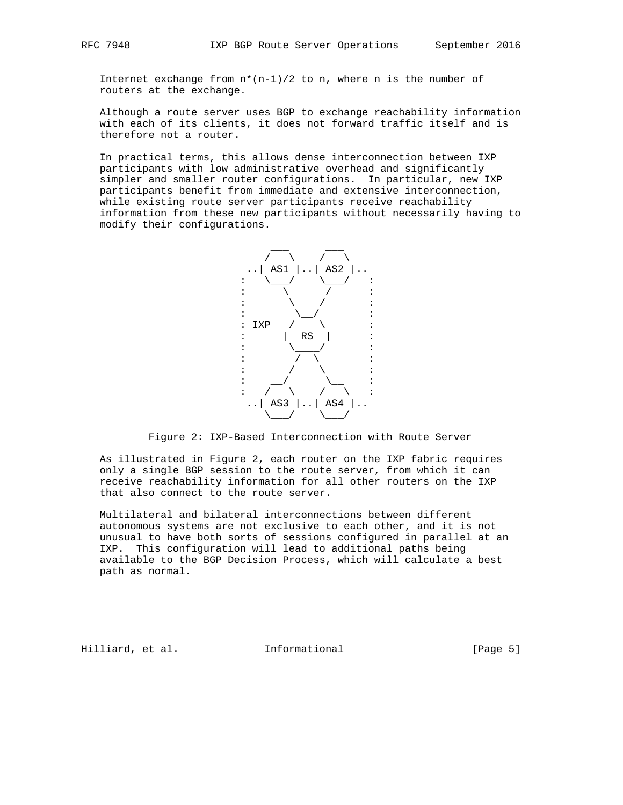Internet exchange from  $n*(n-1)/2$  to n, where n is the number of routers at the exchange.

 Although a route server uses BGP to exchange reachability information with each of its clients, it does not forward traffic itself and is therefore not a router.

 In practical terms, this allows dense interconnection between IXP participants with low administrative overhead and significantly simpler and smaller router configurations. In particular, new IXP participants benefit from immediate and extensive interconnection, while existing route server participants receive reachability information from these new participants without necessarily having to modify their configurations.



Figure 2: IXP-Based Interconnection with Route Server

 As illustrated in Figure 2, each router on the IXP fabric requires only a single BGP session to the route server, from which it can receive reachability information for all other routers on the IXP that also connect to the route server.

 Multilateral and bilateral interconnections between different autonomous systems are not exclusive to each other, and it is not unusual to have both sorts of sessions configured in parallel at an IXP. This configuration will lead to additional paths being available to the BGP Decision Process, which will calculate a best path as normal.

Hilliard, et al. Informational [Page 5]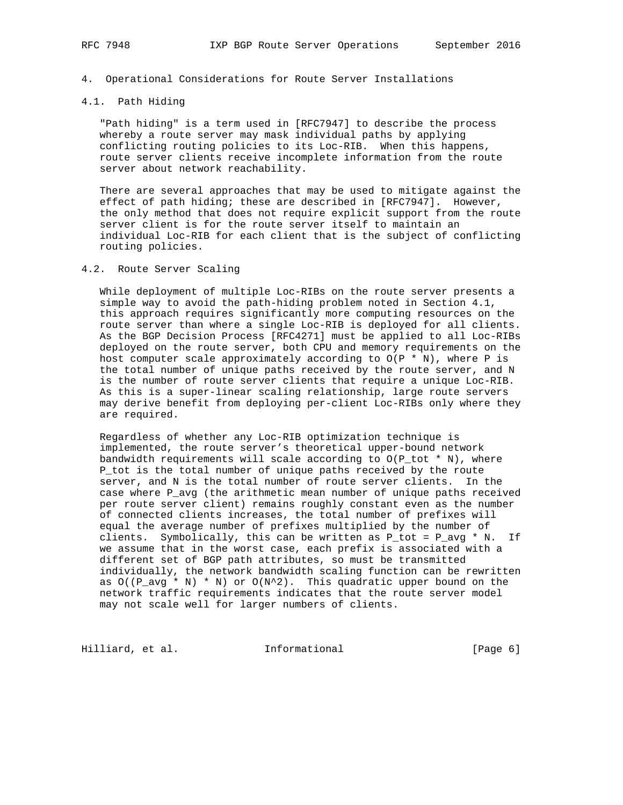### 4. Operational Considerations for Route Server Installations

# 4.1. Path Hiding

 "Path hiding" is a term used in [RFC7947] to describe the process whereby a route server may mask individual paths by applying conflicting routing policies to its Loc-RIB. When this happens, route server clients receive incomplete information from the route server about network reachability.

 There are several approaches that may be used to mitigate against the effect of path hiding; these are described in [RFC7947]. However, the only method that does not require explicit support from the route server client is for the route server itself to maintain an individual Loc-RIB for each client that is the subject of conflicting routing policies.

#### 4.2. Route Server Scaling

 While deployment of multiple Loc-RIBs on the route server presents a simple way to avoid the path-hiding problem noted in Section 4.1, this approach requires significantly more computing resources on the route server than where a single Loc-RIB is deployed for all clients. As the BGP Decision Process [RFC4271] must be applied to all Loc-RIBs deployed on the route server, both CPU and memory requirements on the host computer scale approximately according to  $O(P * N)$ , where P is the total number of unique paths received by the route server, and N is the number of route server clients that require a unique Loc-RIB. As this is a super-linear scaling relationship, large route servers may derive benefit from deploying per-client Loc-RIBs only where they are required.

 Regardless of whether any Loc-RIB optimization technique is implemented, the route server's theoretical upper-bound network bandwidth requirements will scale according to  $O(P_{tot} * N)$ , where P\_tot is the total number of unique paths received by the route server, and N is the total number of route server clients. In the case where P\_avg (the arithmetic mean number of unique paths received per route server client) remains roughly constant even as the number of connected clients increases, the total number of prefixes will equal the average number of prefixes multiplied by the number of clients. Symbolically, this can be written as  $P_{tot} = P_{avg} * N$ . If we assume that in the worst case, each prefix is associated with a different set of BGP path attributes, so must be transmitted individually, the network bandwidth scaling function can be rewritten as  $O((P_avg * N) * N)$  or  $O(N^2)$ . This quadratic upper bound on the network traffic requirements indicates that the route server model may not scale well for larger numbers of clients.

Hilliard, et al. 1nformational 1999 [Page 6]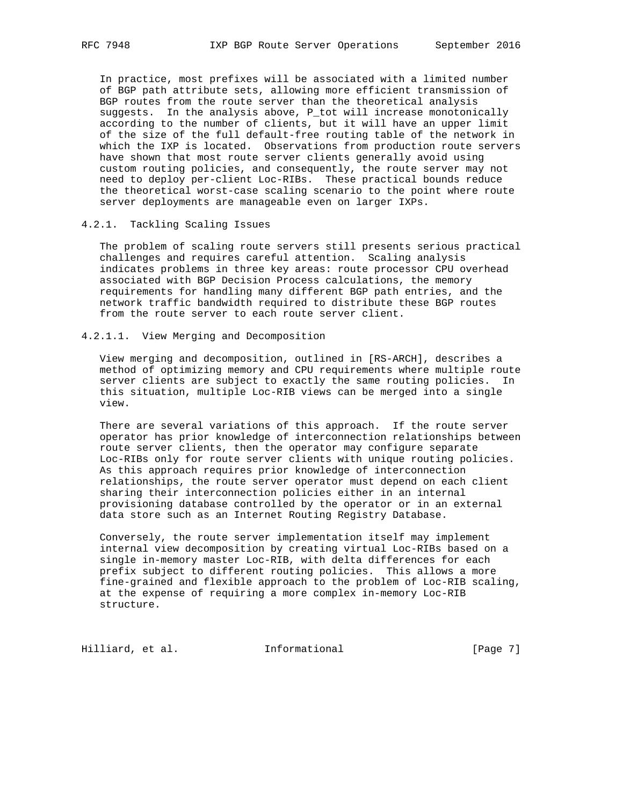In practice, most prefixes will be associated with a limited number of BGP path attribute sets, allowing more efficient transmission of BGP routes from the route server than the theoretical analysis suggests. In the analysis above, P\_tot will increase monotonically according to the number of clients, but it will have an upper limit of the size of the full default-free routing table of the network in which the IXP is located. Observations from production route servers have shown that most route server clients generally avoid using custom routing policies, and consequently, the route server may not need to deploy per-client Loc-RIBs. These practical bounds reduce the theoretical worst-case scaling scenario to the point where route server deployments are manageable even on larger IXPs.

## 4.2.1. Tackling Scaling Issues

 The problem of scaling route servers still presents serious practical challenges and requires careful attention. Scaling analysis indicates problems in three key areas: route processor CPU overhead associated with BGP Decision Process calculations, the memory requirements for handling many different BGP path entries, and the network traffic bandwidth required to distribute these BGP routes from the route server to each route server client.

## 4.2.1.1. View Merging and Decomposition

 View merging and decomposition, outlined in [RS-ARCH], describes a method of optimizing memory and CPU requirements where multiple route server clients are subject to exactly the same routing policies. In this situation, multiple Loc-RIB views can be merged into a single view.

 There are several variations of this approach. If the route server operator has prior knowledge of interconnection relationships between route server clients, then the operator may configure separate Loc-RIBs only for route server clients with unique routing policies. As this approach requires prior knowledge of interconnection relationships, the route server operator must depend on each client sharing their interconnection policies either in an internal provisioning database controlled by the operator or in an external data store such as an Internet Routing Registry Database.

 Conversely, the route server implementation itself may implement internal view decomposition by creating virtual Loc-RIBs based on a single in-memory master Loc-RIB, with delta differences for each prefix subject to different routing policies. This allows a more fine-grained and flexible approach to the problem of Loc-RIB scaling, at the expense of requiring a more complex in-memory Loc-RIB structure.

Hilliard, et al. 1nformational 1999 [Page 7]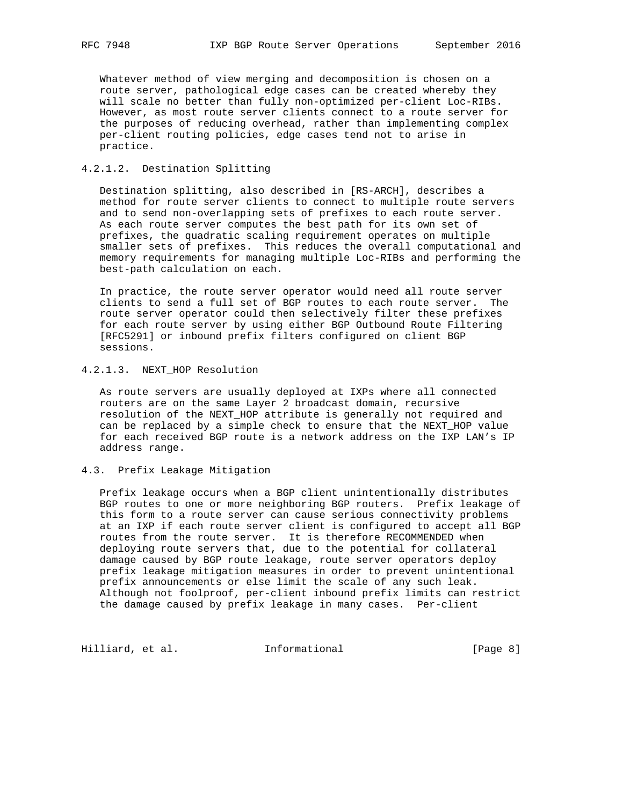Whatever method of view merging and decomposition is chosen on a route server, pathological edge cases can be created whereby they will scale no better than fully non-optimized per-client Loc-RIBs. However, as most route server clients connect to a route server for the purposes of reducing overhead, rather than implementing complex per-client routing policies, edge cases tend not to arise in practice.

## 4.2.1.2. Destination Splitting

 Destination splitting, also described in [RS-ARCH], describes a method for route server clients to connect to multiple route servers and to send non-overlapping sets of prefixes to each route server. As each route server computes the best path for its own set of prefixes, the quadratic scaling requirement operates on multiple smaller sets of prefixes. This reduces the overall computational and memory requirements for managing multiple Loc-RIBs and performing the best-path calculation on each.

 In practice, the route server operator would need all route server clients to send a full set of BGP routes to each route server. The route server operator could then selectively filter these prefixes for each route server by using either BGP Outbound Route Filtering [RFC5291] or inbound prefix filters configured on client BGP sessions.

# 4.2.1.3. NEXT\_HOP Resolution

 As route servers are usually deployed at IXPs where all connected routers are on the same Layer 2 broadcast domain, recursive resolution of the NEXT HOP attribute is generally not required and can be replaced by a simple check to ensure that the NEXT\_HOP value for each received BGP route is a network address on the IXP LAN's IP address range.

## 4.3. Prefix Leakage Mitigation

 Prefix leakage occurs when a BGP client unintentionally distributes BGP routes to one or more neighboring BGP routers. Prefix leakage of this form to a route server can cause serious connectivity problems at an IXP if each route server client is configured to accept all BGP routes from the route server. It is therefore RECOMMENDED when deploying route servers that, due to the potential for collateral damage caused by BGP route leakage, route server operators deploy prefix leakage mitigation measures in order to prevent unintentional prefix announcements or else limit the scale of any such leak. Although not foolproof, per-client inbound prefix limits can restrict the damage caused by prefix leakage in many cases. Per-client

Hilliard, et al. 1nformational 1999 [Page 8]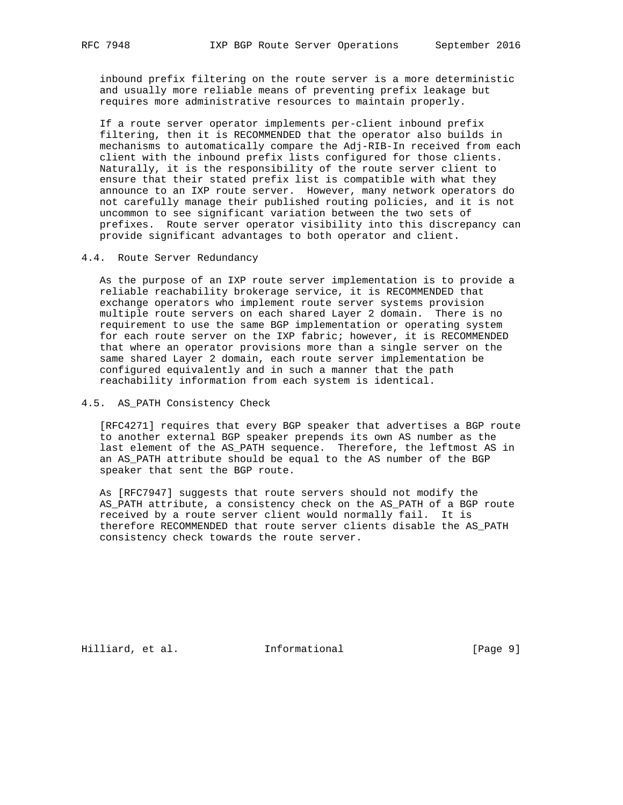inbound prefix filtering on the route server is a more deterministic and usually more reliable means of preventing prefix leakage but requires more administrative resources to maintain properly.

 If a route server operator implements per-client inbound prefix filtering, then it is RECOMMENDED that the operator also builds in mechanisms to automatically compare the Adj-RIB-In received from each client with the inbound prefix lists configured for those clients. Naturally, it is the responsibility of the route server client to ensure that their stated prefix list is compatible with what they announce to an IXP route server. However, many network operators do not carefully manage their published routing policies, and it is not uncommon to see significant variation between the two sets of prefixes. Route server operator visibility into this discrepancy can provide significant advantages to both operator and client.

4.4. Route Server Redundancy

 As the purpose of an IXP route server implementation is to provide a reliable reachability brokerage service, it is RECOMMENDED that exchange operators who implement route server systems provision multiple route servers on each shared Layer 2 domain. There is no requirement to use the same BGP implementation or operating system for each route server on the IXP fabric; however, it is RECOMMENDED that where an operator provisions more than a single server on the same shared Layer 2 domain, each route server implementation be configured equivalently and in such a manner that the path reachability information from each system is identical.

4.5. AS\_PATH Consistency Check

 [RFC4271] requires that every BGP speaker that advertises a BGP route to another external BGP speaker prepends its own AS number as the last element of the AS PATH sequence. Therefore, the leftmost AS in an AS\_PATH attribute should be equal to the AS number of the BGP speaker that sent the BGP route.

 As [RFC7947] suggests that route servers should not modify the AS\_PATH attribute, a consistency check on the AS\_PATH of a BGP route received by a route server client would normally fail. It is therefore RECOMMENDED that route server clients disable the AS\_PATH consistency check towards the route server.

Hilliard, et al. 1nformational 1999 [Page 9]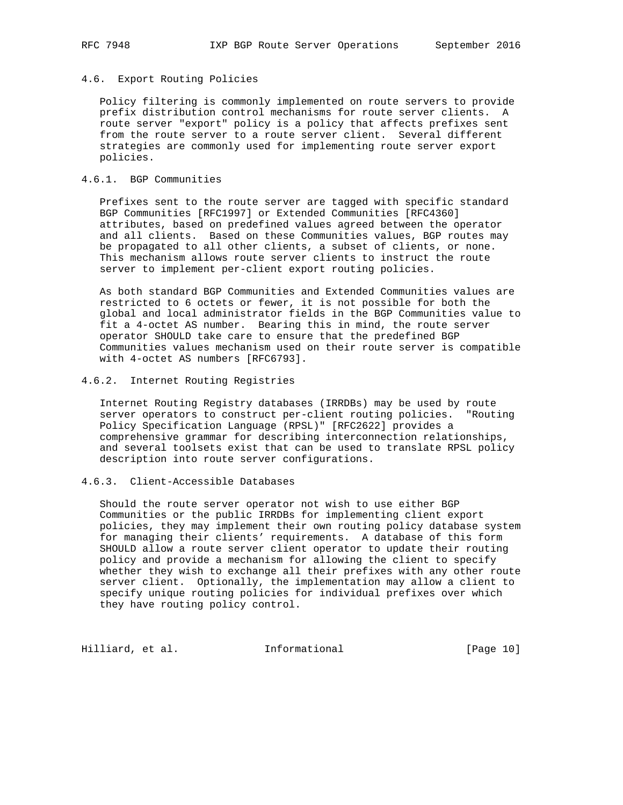# 4.6. Export Routing Policies

 Policy filtering is commonly implemented on route servers to provide prefix distribution control mechanisms for route server clients. A route server "export" policy is a policy that affects prefixes sent from the route server to a route server client. Several different strategies are commonly used for implementing route server export policies.

## 4.6.1. BGP Communities

 Prefixes sent to the route server are tagged with specific standard BGP Communities [RFC1997] or Extended Communities [RFC4360] attributes, based on predefined values agreed between the operator and all clients. Based on these Communities values, BGP routes may be propagated to all other clients, a subset of clients, or none. This mechanism allows route server clients to instruct the route server to implement per-client export routing policies.

 As both standard BGP Communities and Extended Communities values are restricted to 6 octets or fewer, it is not possible for both the global and local administrator fields in the BGP Communities value to fit a 4-octet AS number. Bearing this in mind, the route server operator SHOULD take care to ensure that the predefined BGP Communities values mechanism used on their route server is compatible with 4-octet AS numbers [RFC6793].

## 4.6.2. Internet Routing Registries

 Internet Routing Registry databases (IRRDBs) may be used by route server operators to construct per-client routing policies. "Routing Policy Specification Language (RPSL)" [RFC2622] provides a comprehensive grammar for describing interconnection relationships, and several toolsets exist that can be used to translate RPSL policy description into route server configurations.

# 4.6.3. Client-Accessible Databases

 Should the route server operator not wish to use either BGP Communities or the public IRRDBs for implementing client export policies, they may implement their own routing policy database system for managing their clients' requirements. A database of this form SHOULD allow a route server client operator to update their routing policy and provide a mechanism for allowing the client to specify whether they wish to exchange all their prefixes with any other route server client. Optionally, the implementation may allow a client to specify unique routing policies for individual prefixes over which they have routing policy control.

Hilliard, et al. 1nformational [Page 10]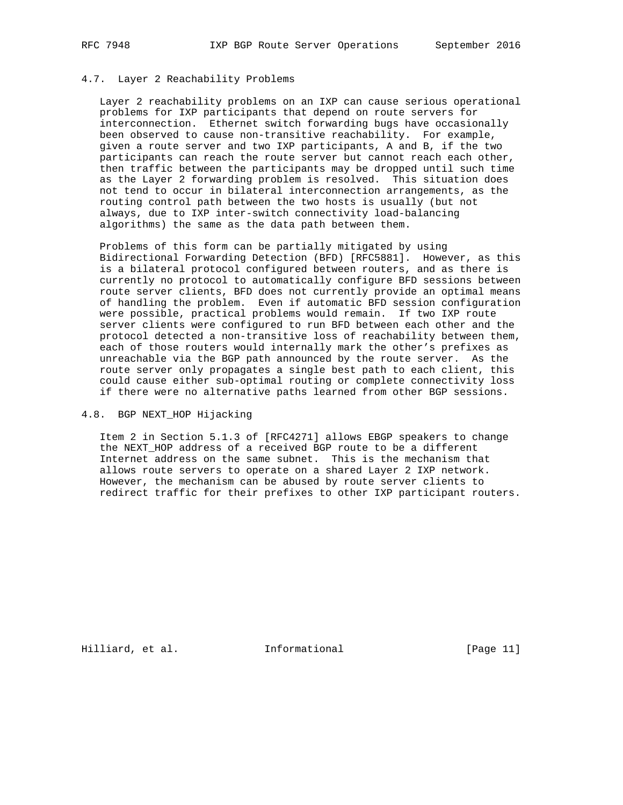## 4.7. Layer 2 Reachability Problems

 Layer 2 reachability problems on an IXP can cause serious operational problems for IXP participants that depend on route servers for interconnection. Ethernet switch forwarding bugs have occasionally been observed to cause non-transitive reachability. For example, given a route server and two IXP participants, A and B, if the two participants can reach the route server but cannot reach each other, then traffic between the participants may be dropped until such time as the Layer 2 forwarding problem is resolved. This situation does not tend to occur in bilateral interconnection arrangements, as the routing control path between the two hosts is usually (but not always, due to IXP inter-switch connectivity load-balancing algorithms) the same as the data path between them.

 Problems of this form can be partially mitigated by using Bidirectional Forwarding Detection (BFD) [RFC5881]. However, as this is a bilateral protocol configured between routers, and as there is currently no protocol to automatically configure BFD sessions between route server clients, BFD does not currently provide an optimal means of handling the problem. Even if automatic BFD session configuration were possible, practical problems would remain. If two IXP route server clients were configured to run BFD between each other and the protocol detected a non-transitive loss of reachability between them, each of those routers would internally mark the other's prefixes as unreachable via the BGP path announced by the route server. As the route server only propagates a single best path to each client, this could cause either sub-optimal routing or complete connectivity loss if there were no alternative paths learned from other BGP sessions.

# 4.8. BGP NEXT\_HOP Hijacking

 Item 2 in Section 5.1.3 of [RFC4271] allows EBGP speakers to change the NEXT HOP address of a received BGP route to be a different Internet address on the same subnet. This is the mechanism that allows route servers to operate on a shared Layer 2 IXP network. However, the mechanism can be abused by route server clients to redirect traffic for their prefixes to other IXP participant routers.

Hilliard, et al. Informational [Page 11]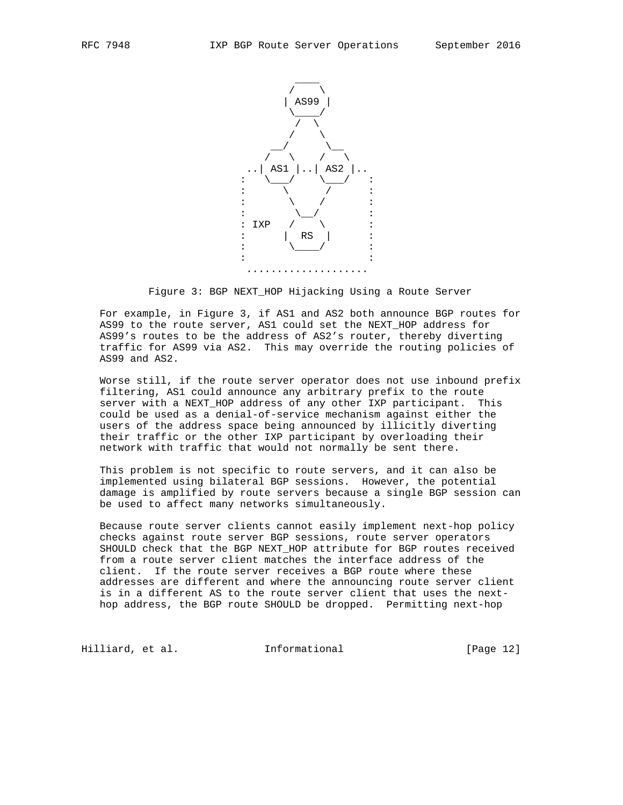

Figure 3: BGP NEXT\_HOP Hijacking Using a Route Server

 For example, in Figure 3, if AS1 and AS2 both announce BGP routes for AS99 to the route server, AS1 could set the NEXT\_HOP address for AS99's routes to be the address of AS2's router, thereby diverting traffic for AS99 via AS2. This may override the routing policies of AS99 and AS2.

 Worse still, if the route server operator does not use inbound prefix filtering, AS1 could announce any arbitrary prefix to the route server with a NEXT\_HOP address of any other IXP participant. This could be used as a denial-of-service mechanism against either the users of the address space being announced by illicitly diverting their traffic or the other IXP participant by overloading their network with traffic that would not normally be sent there.

 This problem is not specific to route servers, and it can also be implemented using bilateral BGP sessions. However, the potential damage is amplified by route servers because a single BGP session can be used to affect many networks simultaneously.

 Because route server clients cannot easily implement next-hop policy checks against route server BGP sessions, route server operators SHOULD check that the BGP NEXT\_HOP attribute for BGP routes received from a route server client matches the interface address of the client. If the route server receives a BGP route where these addresses are different and where the announcing route server client is in a different AS to the route server client that uses the next hop address, the BGP route SHOULD be dropped. Permitting next-hop

Hilliard, et al. Informational [Page 12]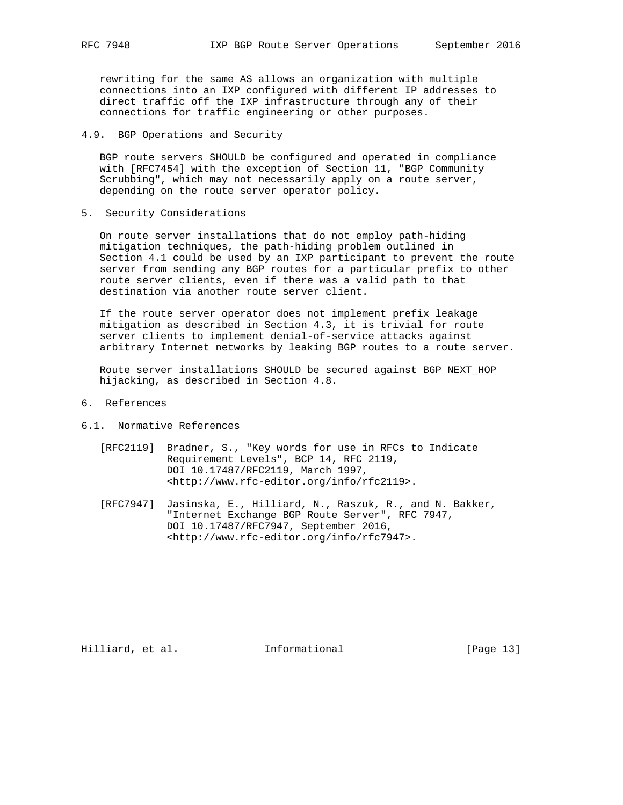rewriting for the same AS allows an organization with multiple connections into an IXP configured with different IP addresses to direct traffic off the IXP infrastructure through any of their connections for traffic engineering or other purposes.

4.9. BGP Operations and Security

 BGP route servers SHOULD be configured and operated in compliance with [RFC7454] with the exception of Section 11, "BGP Community Scrubbing", which may not necessarily apply on a route server, depending on the route server operator policy.

5. Security Considerations

 On route server installations that do not employ path-hiding mitigation techniques, the path-hiding problem outlined in Section 4.1 could be used by an IXP participant to prevent the route server from sending any BGP routes for a particular prefix to other route server clients, even if there was a valid path to that destination via another route server client.

 If the route server operator does not implement prefix leakage mitigation as described in Section 4.3, it is trivial for route server clients to implement denial-of-service attacks against arbitrary Internet networks by leaking BGP routes to a route server.

 Route server installations SHOULD be secured against BGP NEXT\_HOP hijacking, as described in Section 4.8.

- 6. References
- 6.1. Normative References
	- [RFC2119] Bradner, S., "Key words for use in RFCs to Indicate Requirement Levels", BCP 14, RFC 2119, DOI 10.17487/RFC2119, March 1997, <http://www.rfc-editor.org/info/rfc2119>.
	- [RFC7947] Jasinska, E., Hilliard, N., Raszuk, R., and N. Bakker, "Internet Exchange BGP Route Server", RFC 7947, DOI 10.17487/RFC7947, September 2016, <http://www.rfc-editor.org/info/rfc7947>.

Hilliard, et al. Informational [Page 13]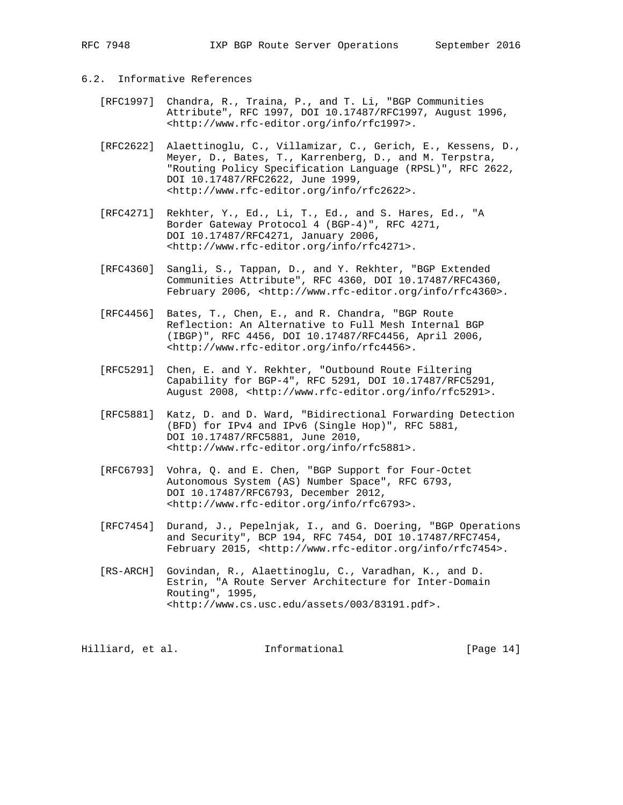# 6.2. Informative References

- [RFC1997] Chandra, R., Traina, P., and T. Li, "BGP Communities Attribute", RFC 1997, DOI 10.17487/RFC1997, August 1996, <http://www.rfc-editor.org/info/rfc1997>.
- [RFC2622] Alaettinoglu, C., Villamizar, C., Gerich, E., Kessens, D., Meyer, D., Bates, T., Karrenberg, D., and M. Terpstra, "Routing Policy Specification Language (RPSL)", RFC 2622, DOI 10.17487/RFC2622, June 1999, <http://www.rfc-editor.org/info/rfc2622>.
- [RFC4271] Rekhter, Y., Ed., Li, T., Ed., and S. Hares, Ed., "A Border Gateway Protocol 4 (BGP-4)", RFC 4271, DOI 10.17487/RFC4271, January 2006, <http://www.rfc-editor.org/info/rfc4271>.
- [RFC4360] Sangli, S., Tappan, D., and Y. Rekhter, "BGP Extended Communities Attribute", RFC 4360, DOI 10.17487/RFC4360, February 2006, <http://www.rfc-editor.org/info/rfc4360>.
- [RFC4456] Bates, T., Chen, E., and R. Chandra, "BGP Route Reflection: An Alternative to Full Mesh Internal BGP (IBGP)", RFC 4456, DOI 10.17487/RFC4456, April 2006, <http://www.rfc-editor.org/info/rfc4456>.
- [RFC5291] Chen, E. and Y. Rekhter, "Outbound Route Filtering Capability for BGP-4", RFC 5291, DOI 10.17487/RFC5291, August 2008, <http://www.rfc-editor.org/info/rfc5291>.
- [RFC5881] Katz, D. and D. Ward, "Bidirectional Forwarding Detection (BFD) for IPv4 and IPv6 (Single Hop)", RFC 5881, DOI 10.17487/RFC5881, June 2010, <http://www.rfc-editor.org/info/rfc5881>.
- [RFC6793] Vohra, Q. and E. Chen, "BGP Support for Four-Octet Autonomous System (AS) Number Space", RFC 6793, DOI 10.17487/RFC6793, December 2012, <http://www.rfc-editor.org/info/rfc6793>.
- [RFC7454] Durand, J., Pepelnjak, I., and G. Doering, "BGP Operations and Security", BCP 194, RFC 7454, DOI 10.17487/RFC7454, February 2015, <http://www.rfc-editor.org/info/rfc7454>.
- [RS-ARCH] Govindan, R., Alaettinoglu, C., Varadhan, K., and D. Estrin, "A Route Server Architecture for Inter-Domain Routing", 1995, <http://www.cs.usc.edu/assets/003/83191.pdf>.

Hilliard, et al. Informational [Page 14]